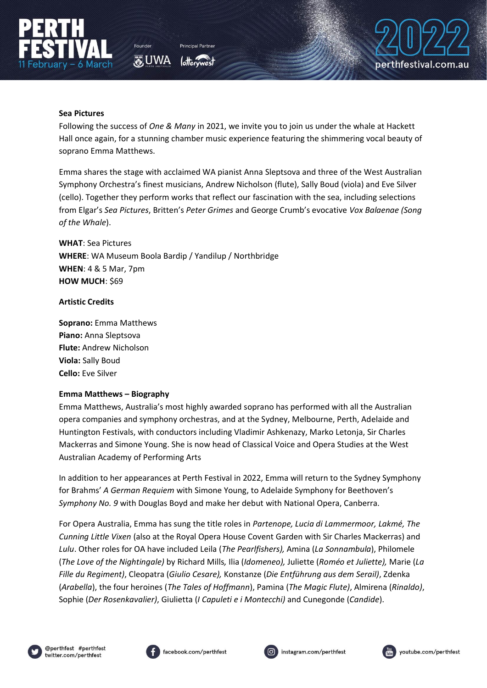

O UWA



## **Sea Pictures**

Following the success of *One & Many* in 2021, we invite you to join us under the whale at Hackett Hall once again, for a stunning chamber music experience featuring the shimmering vocal beauty of soprano Emma Matthews.

Emma shares the stage with acclaimed WA pianist Anna Sleptsova and three of the West Australian Symphony Orchestra's finest musicians, Andrew Nicholson (flute), Sally Boud (viola) and Eve Silver (cello). Together they perform works that reflect our fascination with the sea, including selections from Elgar's *Sea Pictures*, Britten's *Peter Grimes* and George Crumb's evocative *Vox Balaenae (Song of the Whale*).

**WHAT**: Sea Pictures **WHERE**: WA Museum Boola Bardip / Yandilup / Northbridge **WHEN**: 4 & 5 Mar, 7pm **HOW MUCH: \$69** 

## **Artistic Credits**

**Soprano:** Emma Matthews **Piano:** Anna Sleptsova **Flute:** Andrew Nicholson **Viola:** Sally Boud **Cello:** Eve Silver

## **Emma Matthews – Biography**

Emma Matthews, Australia's most highly awarded soprano has performed with all the Australian opera companies and symphony orchestras, and at the Sydney, Melbourne, Perth, Adelaide and Huntington Festivals, with conductors including Vladimir Ashkenazy, Marko Letonja, Sir Charles Mackerras and Simone Young. She is now head of Classical Voice and Opera Studies at the West Australian Academy of Performing Arts

In addition to her appearances at Perth Festival in 2022, Emma will return to the Sydney Symphony for Brahms' *A German Requiem* with Simone Young, to Adelaide Symphony for Beethoven's *Symphony No. 9* with Douglas Boyd and make her debut with National Opera, Canberra.

For Opera Australia, Emma has sung the title roles in *Partenope, Lucia di Lammermoor, Lakmé, The Cunning Little Vixen* (also at the Royal Opera House Covent Garden with Sir Charles Mackerras) and *Lulu*. Other roles for OA have included Leila (*The Pearlfishers),* Amina (*La Sonnambula*), Philomele (*The Love of the Nightingale)* by Richard Mills*,* Ilia (*Idomeneo),* Juliette (*Roméo et Juliette),* Marie (*La Fille du Regiment)*, Cleopatra (*Giulio Cesare),* Konstanze (*Die Entführung aus dem Serail)*, Zdenka (*Arabella*), the four heroines (*The Tales of Hoffmann*), Pamina (*The Magic Flute)*, Almirena (*Rinaldo)*, Sophie (*Der Rosenkavalier)*, Giulietta (*I Capuleti e i Montecchi)* and Cunegonde (*Candide*).